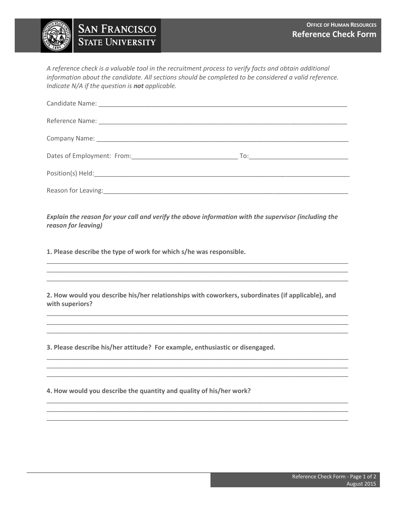## **OFFICE OF HUMAN RESOURCES Reference Check Form**

**SAN FRANCISCO STATE UNIVERSITY** 

*A reference check is a valuable tool in the recruitment process to verify facts and obtain additional information about the candidate. All sections should be completed to be considered a valid reference. Indicate N/A if the question is not applicable.* 

*Explain the reason for your call and verify the above information with the supervisor (including the reason for leaving)*

\_\_\_\_\_\_\_\_\_\_\_\_\_\_\_\_\_\_\_\_\_\_\_\_\_\_\_\_\_\_\_\_\_\_\_\_\_\_\_\_\_\_\_\_\_\_\_\_\_\_\_\_\_\_\_\_\_\_\_\_\_\_\_\_\_\_\_\_\_\_\_\_\_\_\_\_\_\_\_\_\_\_\_\_\_ \_\_\_\_\_\_\_\_\_\_\_\_\_\_\_\_\_\_\_\_\_\_\_\_\_\_\_\_\_\_\_\_\_\_\_\_\_\_\_\_\_\_\_\_\_\_\_\_\_\_\_\_\_\_\_\_\_\_\_\_\_\_\_\_\_\_\_\_\_\_\_\_\_\_\_\_\_\_\_\_\_\_\_\_\_ \_\_\_\_\_\_\_\_\_\_\_\_\_\_\_\_\_\_\_\_\_\_\_\_\_\_\_\_\_\_\_\_\_\_\_\_\_\_\_\_\_\_\_\_\_\_\_\_\_\_\_\_\_\_\_\_\_\_\_\_\_\_\_\_\_\_\_\_\_\_\_\_\_\_\_\_\_\_\_\_\_\_\_\_\_

**1. Please describe the type of work for which s/he was responsible.**

**2. How would you describe his/her relationships with coworkers, subordinates (if applicable), and with superiors?**

\_\_\_\_\_\_\_\_\_\_\_\_\_\_\_\_\_\_\_\_\_\_\_\_\_\_\_\_\_\_\_\_\_\_\_\_\_\_\_\_\_\_\_\_\_\_\_\_\_\_\_\_\_\_\_\_\_\_\_\_\_\_\_\_\_\_\_\_\_\_\_\_\_\_\_\_\_\_\_\_\_\_\_\_\_ \_\_\_\_\_\_\_\_\_\_\_\_\_\_\_\_\_\_\_\_\_\_\_\_\_\_\_\_\_\_\_\_\_\_\_\_\_\_\_\_\_\_\_\_\_\_\_\_\_\_\_\_\_\_\_\_\_\_\_\_\_\_\_\_\_\_\_\_\_\_\_\_\_\_\_\_\_\_\_\_\_\_\_\_\_ \_\_\_\_\_\_\_\_\_\_\_\_\_\_\_\_\_\_\_\_\_\_\_\_\_\_\_\_\_\_\_\_\_\_\_\_\_\_\_\_\_\_\_\_\_\_\_\_\_\_\_\_\_\_\_\_\_\_\_\_\_\_\_\_\_\_\_\_\_\_\_\_\_\_\_\_\_\_\_\_\_\_\_\_\_

\_\_\_\_\_\_\_\_\_\_\_\_\_\_\_\_\_\_\_\_\_\_\_\_\_\_\_\_\_\_\_\_\_\_\_\_\_\_\_\_\_\_\_\_\_\_\_\_\_\_\_\_\_\_\_\_\_\_\_\_\_\_\_\_\_\_\_\_\_\_\_\_\_\_\_\_\_\_\_\_\_\_\_\_\_ \_\_\_\_\_\_\_\_\_\_\_\_\_\_\_\_\_\_\_\_\_\_\_\_\_\_\_\_\_\_\_\_\_\_\_\_\_\_\_\_\_\_\_\_\_\_\_\_\_\_\_\_\_\_\_\_\_\_\_\_\_\_\_\_\_\_\_\_\_\_\_\_\_\_\_\_\_\_\_\_\_\_\_\_\_ \_\_\_\_\_\_\_\_\_\_\_\_\_\_\_\_\_\_\_\_\_\_\_\_\_\_\_\_\_\_\_\_\_\_\_\_\_\_\_\_\_\_\_\_\_\_\_\_\_\_\_\_\_\_\_\_\_\_\_\_\_\_\_\_\_\_\_\_\_\_\_\_\_\_\_\_\_\_\_\_\_\_\_\_\_

\_\_\_\_\_\_\_\_\_\_\_\_\_\_\_\_\_\_\_\_\_\_\_\_\_\_\_\_\_\_\_\_\_\_\_\_\_\_\_\_\_\_\_\_\_\_\_\_\_\_\_\_\_\_\_\_\_\_\_\_\_\_\_\_\_\_\_\_\_\_\_\_\_\_\_\_\_\_\_\_\_\_\_\_\_ \_\_\_\_\_\_\_\_\_\_\_\_\_\_\_\_\_\_\_\_\_\_\_\_\_\_\_\_\_\_\_\_\_\_\_\_\_\_\_\_\_\_\_\_\_\_\_\_\_\_\_\_\_\_\_\_\_\_\_\_\_\_\_\_\_\_\_\_\_\_\_\_\_\_\_\_\_\_\_\_\_\_\_\_\_ \_\_\_\_\_\_\_\_\_\_\_\_\_\_\_\_\_\_\_\_\_\_\_\_\_\_\_\_\_\_\_\_\_\_\_\_\_\_\_\_\_\_\_\_\_\_\_\_\_\_\_\_\_\_\_\_\_\_\_\_\_\_\_\_\_\_\_\_\_\_\_\_\_\_\_\_\_\_\_\_\_\_\_\_\_

**3. Please describe his/her attitude? For example, enthusiastic or disengaged.**

**4. How would you describe the quantity and quality of his/her work?**